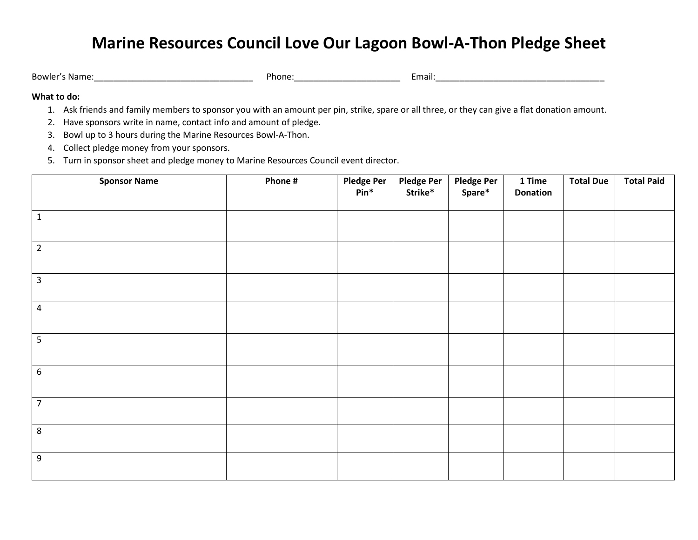## **Marine Resources Council Love Our Lagoon Bowl-A-Thon Pledge Sheet**

Bowler's Name:\_\_\_\_\_\_\_\_\_\_\_\_\_\_\_\_\_\_\_\_\_\_\_\_\_\_\_\_\_\_\_\_\_ Phone:\_\_\_\_\_\_\_\_\_\_\_\_\_\_\_\_\_\_\_\_\_\_ Email:\_\_\_\_\_\_\_\_\_\_\_\_\_\_\_\_\_\_\_\_\_\_\_\_\_\_\_\_\_\_\_\_\_\_\_

## **What to do:**

- 1. Ask friends and family members to sponsor you with an amount per pin, strike, spare or all three, or they can give a flat donation amount.
- 2. Have sponsors write in name, contact info and amount of pledge.
- 3. Bowl up to 3 hours during the Marine Resources Bowl-A-Thon.
- 4. Collect pledge money from your sponsors.
- 5. Turn in sponsor sheet and pledge money to Marine Resources Council event director.

| <b>Sponsor Name</b> | Phone # | <b>Pledge Per</b><br>$Pin^*$ | Pledge Per<br>Strike* | Pledge Per<br>Spare* | 1 Time<br><b>Donation</b> | <b>Total Due</b> | <b>Total Paid</b> |
|---------------------|---------|------------------------------|-----------------------|----------------------|---------------------------|------------------|-------------------|
| $\mathbf{1}$        |         |                              |                       |                      |                           |                  |                   |
| $\overline{2}$      |         |                              |                       |                      |                           |                  |                   |
| $\mathbf{3}$        |         |                              |                       |                      |                           |                  |                   |
| $\overline{4}$      |         |                              |                       |                      |                           |                  |                   |
| 5                   |         |                              |                       |                      |                           |                  |                   |
| $\,$ 6 $\,$         |         |                              |                       |                      |                           |                  |                   |
| $\overline{7}$      |         |                              |                       |                      |                           |                  |                   |
| 8                   |         |                              |                       |                      |                           |                  |                   |
| $\boldsymbol{9}$    |         |                              |                       |                      |                           |                  |                   |